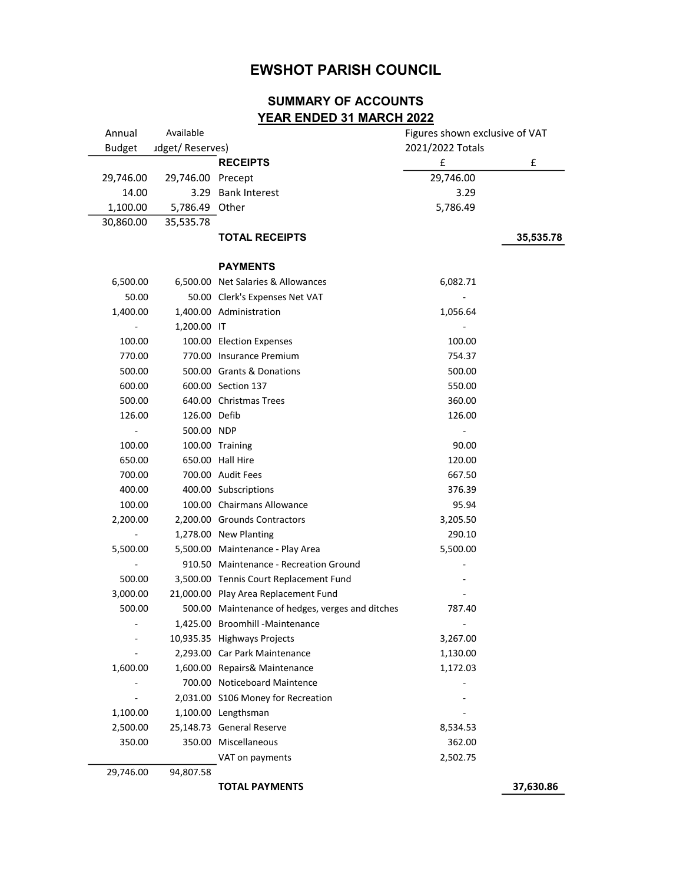## EWSHOT PARISH COUNCIL

## SUMMARY OF ACCOUNTS YEAR ENDED 31 MARCH 2022

| Annual                   | Available         |                                                  | Figures shown exclusive of VAT |           |
|--------------------------|-------------------|--------------------------------------------------|--------------------------------|-----------|
| <b>Budget</b>            | udget/Reserves)   |                                                  | 2021/2022 Totals               |           |
|                          |                   | <b>RECEIPTS</b>                                  | £                              | £         |
| 29,746.00                | 29,746.00 Precept |                                                  | 29,746.00                      |           |
| 14.00                    |                   | 3.29 Bank Interest                               | 3.29                           |           |
| 1,100.00                 | 5,786.49 Other    |                                                  | 5,786.49                       |           |
| 30,860.00                | 35,535.78         |                                                  |                                |           |
|                          |                   | <b>TOTAL RECEIPTS</b>                            |                                | 35,535.78 |
|                          |                   | <b>PAYMENTS</b>                                  |                                |           |
| 6,500.00                 |                   | 6,500.00 Net Salaries & Allowances               | 6,082.71                       |           |
| 50.00                    |                   | 50.00 Clerk's Expenses Net VAT                   |                                |           |
| 1,400.00                 |                   | 1,400.00 Administration                          | 1,056.64                       |           |
|                          | 1,200.00 IT       |                                                  |                                |           |
| 100.00                   |                   | 100.00 Election Expenses                         | 100.00                         |           |
| 770.00                   |                   | 770.00 Insurance Premium                         | 754.37                         |           |
| 500.00                   |                   | 500.00 Grants & Donations                        | 500.00                         |           |
| 600.00                   |                   | 600.00 Section 137                               | 550.00                         |           |
| 500.00                   |                   | 640.00 Christmas Trees                           | 360.00                         |           |
| 126.00                   | 126.00 Defib      |                                                  | 126.00                         |           |
|                          | 500.00 NDP        |                                                  |                                |           |
| 100.00                   |                   | 100.00 Training                                  | 90.00                          |           |
| 650.00                   |                   | 650.00 Hall Hire                                 | 120.00                         |           |
| 700.00                   |                   | 700.00 Audit Fees                                | 667.50                         |           |
| 400.00                   |                   | 400.00 Subscriptions                             | 376.39                         |           |
| 100.00                   |                   | 100.00 Chairmans Allowance                       | 95.94                          |           |
| 2,200.00                 |                   | 2,200.00 Grounds Contractors                     | 3,205.50                       |           |
| $\overline{\phantom{a}}$ |                   | 1,278.00 New Planting                            | 290.10                         |           |
| 5,500.00                 |                   | 5,500.00 Maintenance - Play Area                 | 5,500.00                       |           |
|                          |                   | 910.50 Maintenance - Recreation Ground           |                                |           |
| 500.00                   |                   | 3,500.00 Tennis Court Replacement Fund           |                                |           |
| 3,000.00                 |                   | 21,000.00 Play Area Replacement Fund             |                                |           |
| 500.00                   |                   | 500.00 Maintenance of hedges, verges and ditches | 787.40                         |           |
|                          |                   | 1,425.00 Broomhill - Maintenance                 |                                |           |
| $\blacksquare$           |                   | 10,935.35 Highways Projects                      | 3,267.00                       |           |
|                          |                   | 2,293.00 Car Park Maintenance                    | 1,130.00                       |           |
| 1,600.00                 |                   | 1,600.00 Repairs& Maintenance                    | 1,172.03                       |           |
|                          |                   | 700.00 Noticeboard Maintence                     |                                |           |
|                          |                   | 2,031.00 S106 Money for Recreation               |                                |           |
| 1,100.00                 |                   | 1,100.00 Lengthsman                              |                                |           |
| 2,500.00                 |                   | 25,148.73 General Reserve                        | 8,534.53                       |           |
| 350.00                   |                   | 350.00 Miscellaneous                             | 362.00                         |           |
|                          |                   | VAT on payments                                  | 2,502.75                       |           |
| 29,746.00                | 94,807.58         |                                                  |                                |           |
|                          |                   | <b>TOTAL PAYMENTS</b>                            |                                | 37,630.86 |
|                          |                   |                                                  |                                |           |